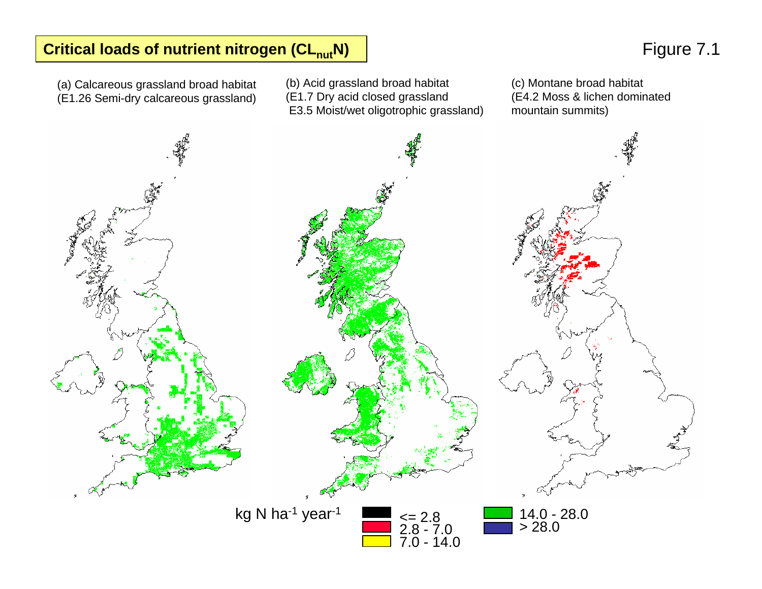## **Critical loads of nutrient nitrogen (CL<sub>nut</sub>N) | Critical loads of nutrient nitrogen (CL<sub>nut</sub>N) | Figure 7.1**

(a) C alcareous grassland broad habitat (E1.26 Semi-dry calcareous grassland)

(b) Acid grassland broad habitat (E1.7 Dry acid closed grassland E3.5 Moist/wet oligotrophic grassland)

(c) Montane broad habitat (E4.2 Moss & lichen dominated mou ntain s ummits)

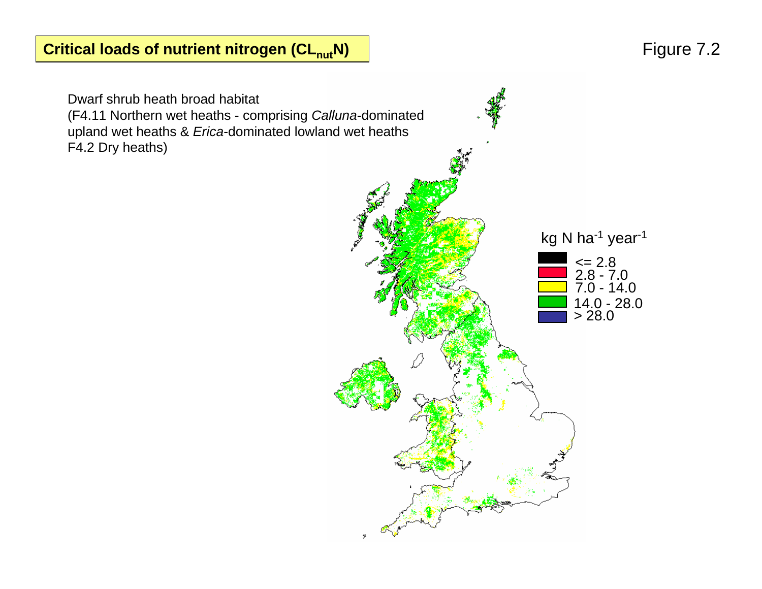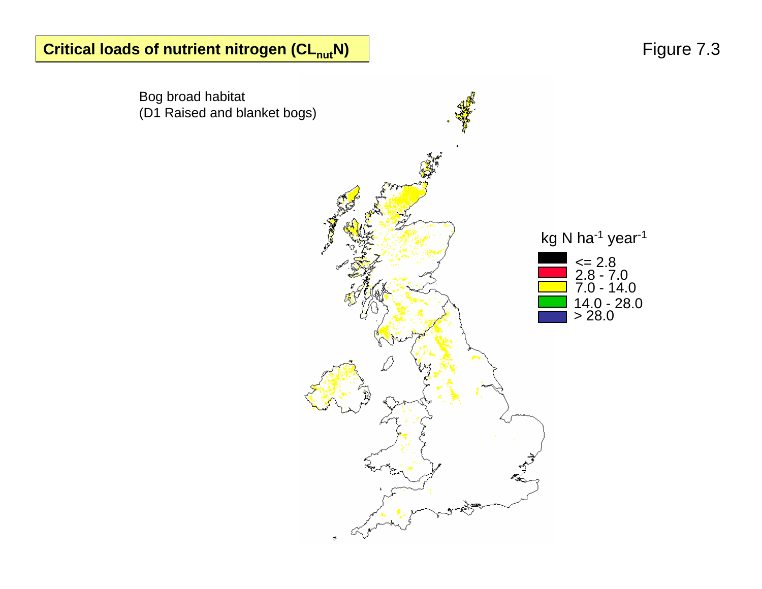**Critical loads of nutrient nitrogen (CL<sub>nut</sub>N) | Critical loads of nutrient nitrogen (CL<sub>nut</sub>N) | Figure 7.3** 

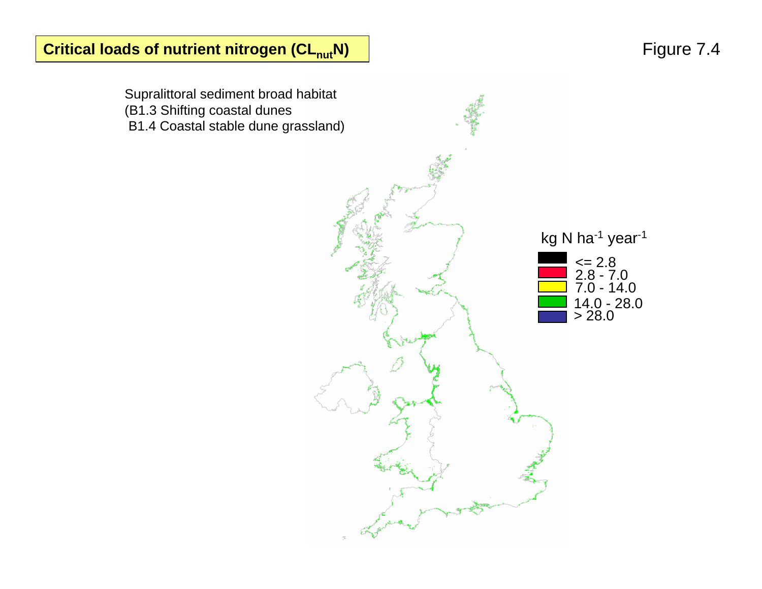Supralittoral sediment broad habitat (B1.3 Shifting coastal dunes B1.4 Coastal stable dune grassland) <= 2.8 2.8 - 7.0 7.0 - 14.0 14.0 - 28. 0 > 28.0 kg N ha<sup>-1</sup> year<sup>-1</sup>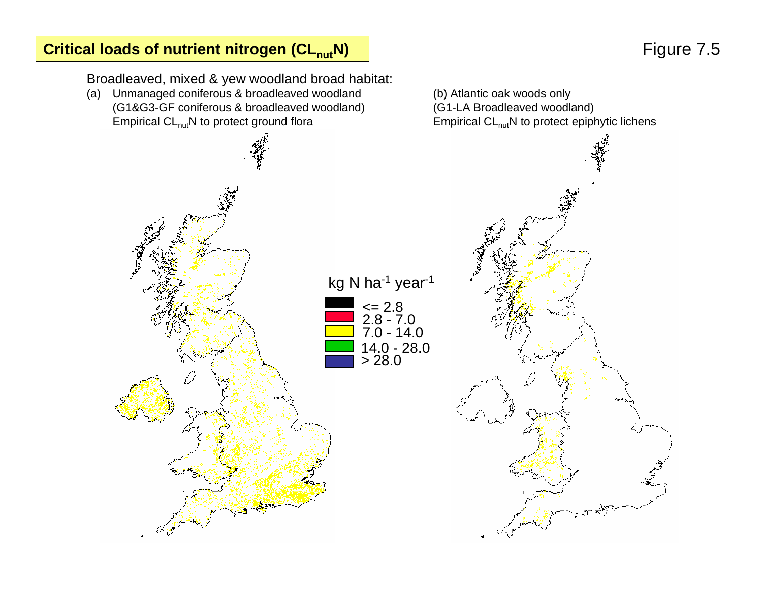### **Critical loads of nutrient nitrogen (CL<sub>nut</sub>N)**

# Figure 7.5

Broadleaved, mixed & yew woodland broad habitat:

(a) Unmanaged coniferous & broadleaved woodland (b) Atlantic oak woods only (G1&G3-GF coniferous & broadleaved woodland) (G1-LA Broadleaved woodland) Empirical  $CL_{\text{nut}}N$  to protect ground flora Empirical  $CL_{\text{nut}}N$  to protect epiphytic lichens